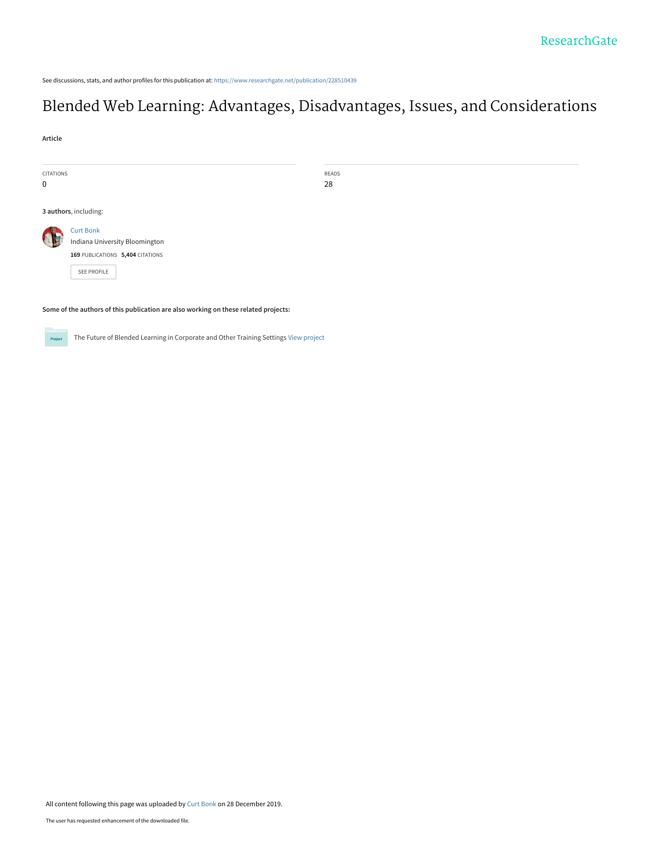See discussions, stats, and author profiles for this publication at: [https://www.researchgate.net/publication/228510439](https://www.researchgate.net/publication/228510439_Blended_Web_Learning_Advantages_Disadvantages_Issues_and_Considerations?enrichId=rgreq-922594b59dbb49e5fcd7301498cf6727-XXX&enrichSource=Y292ZXJQYWdlOzIyODUxMDQzOTtBUzo4NDExMzQwMTIxMDQ3MDRAMTU3NzU1MzM4NDY3NQ%3D%3D&el=1_x_2&_esc=publicationCoverPdf)

# [Blended Web Learning: Advantages, Disadvantages, Issues, and Considerations](https://www.researchgate.net/publication/228510439_Blended_Web_Learning_Advantages_Disadvantages_Issues_and_Considerations?enrichId=rgreq-922594b59dbb49e5fcd7301498cf6727-XXX&enrichSource=Y292ZXJQYWdlOzIyODUxMDQzOTtBUzo4NDExMzQwMTIxMDQ3MDRAMTU3NzU1MzM4NDY3NQ%3D%3D&el=1_x_3&_esc=publicationCoverPdf)

**Article**

| <b>CITATIONS</b> |                                                    | <b>READS</b> |  |
|------------------|----------------------------------------------------|--------------|--|
| $\mathbf 0$      |                                                    | 28           |  |
|                  |                                                    |              |  |
|                  | 3 authors, including:                              |              |  |
|                  | <b>Curt Bonk</b><br>Indiana University Bloomington |              |  |
|                  | 169 PUBLICATIONS 5,404 CITATIONS                   |              |  |
|                  | SEE PROFILE                                        |              |  |
|                  |                                                    |              |  |

**Some of the authors of this publication are also working on these related projects:**

The Future of Blended Learning in Corporate and Other Training Settings [View project](https://www.researchgate.net/project/The-Future-of-Blended-Learning-in-Corporate-and-Other-Training-Settings?enrichId=rgreq-922594b59dbb49e5fcd7301498cf6727-XXX&enrichSource=Y292ZXJQYWdlOzIyODUxMDQzOTtBUzo4NDExMzQwMTIxMDQ3MDRAMTU3NzU1MzM4NDY3NQ%3D%3D&el=1_x_9&_esc=publicationCoverPdf) Project

All content following this page was uploaded by [Curt Bonk](https://www.researchgate.net/profile/Curt_Bonk?enrichId=rgreq-922594b59dbb49e5fcd7301498cf6727-XXX&enrichSource=Y292ZXJQYWdlOzIyODUxMDQzOTtBUzo4NDExMzQwMTIxMDQ3MDRAMTU3NzU1MzM4NDY3NQ%3D%3D&el=1_x_10&_esc=publicationCoverPdf) on 28 December 2019.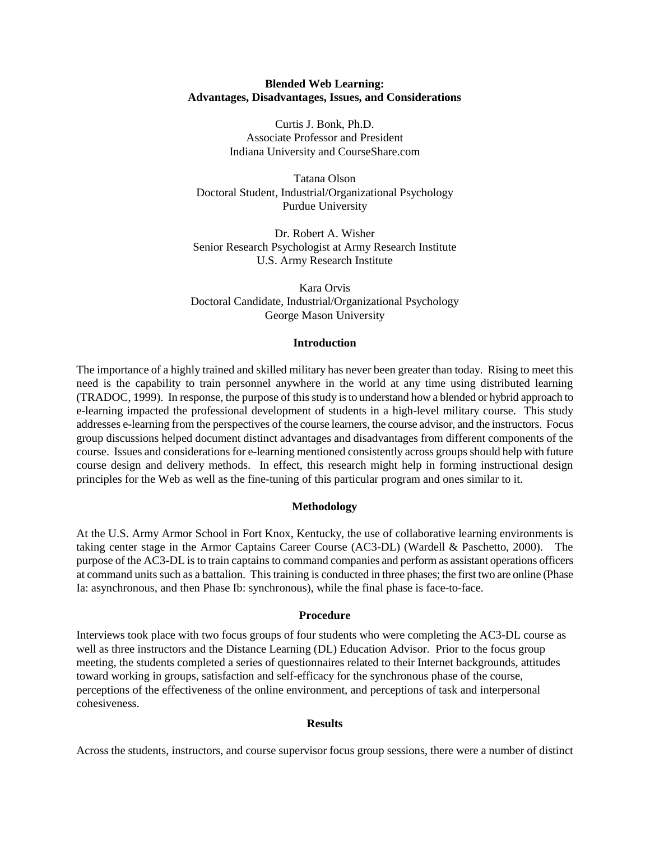## **Blended Web Learning: Advantages, Disadvantages, Issues, and Considerations**

Curtis J. Bonk, Ph.D. Associate Professor and President Indiana University and CourseShare.com

Tatana Olson Doctoral Student, Industrial/Organizational Psychology Purdue University

Dr. Robert A. Wisher Senior Research Psychologist at Army Research Institute U.S. Army Research Institute

Kara Orvis Doctoral Candidate, Industrial/Organizational Psychology George Mason University

#### **Introduction**

The importance of a highly trained and skilled military has never been greater than today. Rising to meet this need is the capability to train personnel anywhere in the world at any time using distributed learning (TRADOC, 1999). In response, the purpose of this study is to understand how a blended or hybrid approach to e-learning impacted the professional development of students in a high-level military course. This study addresses e-learning from the perspectives of the course learners, the course advisor, and the instructors. Focus group discussions helped document distinct advantages and disadvantages from different components of the course. Issues and considerations for e-learning mentioned consistently across groups should help with future course design and delivery methods. In effect, this research might help in forming instructional design principles for the Web as well as the fine-tuning of this particular program and ones similar to it.

## **Methodology**

At the U.S. Army Armor School in Fort Knox, Kentucky, the use of collaborative learning environments is taking center stage in the Armor Captains Career Course (AC3-DL) (Wardell & Paschetto, 2000). The purpose of the AC3-DL is to train captains to command companies and perform as assistant operations officers at command units such as a battalion. This training is conducted in three phases; the first two are online (Phase Ia: asynchronous, and then Phase Ib: synchronous), while the final phase is face-to-face.

#### **Procedure**

Interviews took place with two focus groups of four students who were completing the AC3-DL course as well as three instructors and the Distance Learning (DL) Education Advisor. Prior to the focus group meeting, the students completed a series of questionnaires related to their Internet backgrounds, attitudes toward working in groups, satisfaction and self-efficacy for the synchronous phase of the course, perceptions of the effectiveness of the online environment, and perceptions of task and interpersonal cohesiveness.

# **Results**

Across the students, instructors, and course supervisor focus group sessions, there were a number of distinct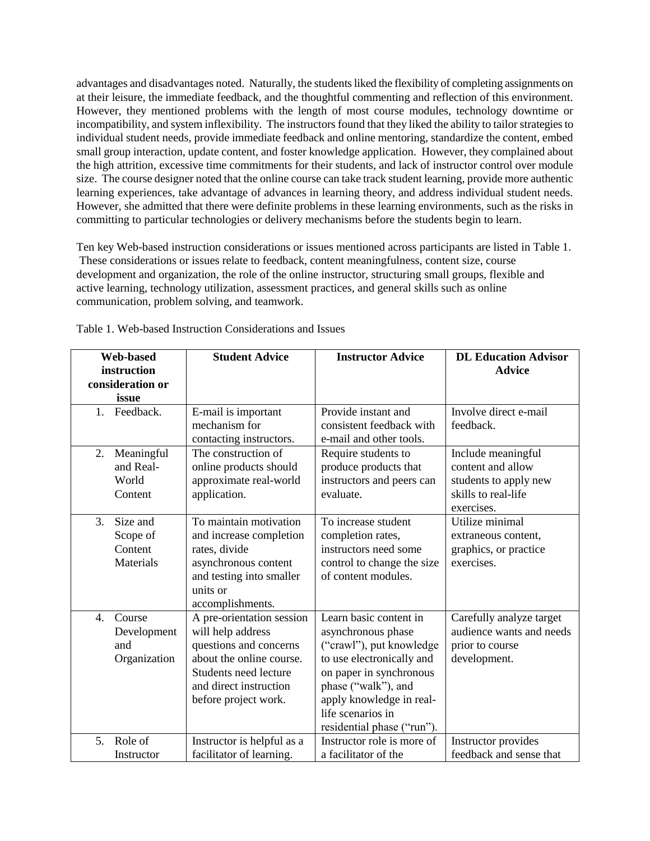advantages and disadvantages noted. Naturally, the students liked the flexibility of completing assignments on at their leisure, the immediate feedback, and the thoughtful commenting and reflection of this environment. However, they mentioned problems with the length of most course modules, technology downtime or incompatibility, and system inflexibility. The instructors found that they liked the ability to tailor strategies to individual student needs, provide immediate feedback and online mentoring, standardize the content, embed small group interaction, update content, and foster knowledge application. However, they complained about the high attrition, excessive time commitments for their students, and lack of instructor control over module size. The course designer noted that the online course can take track student learning, provide more authentic learning experiences, take advantage of advances in learning theory, and address individual student needs. However, she admitted that there were definite problems in these learning environments, such as the risks in committing to particular technologies or delivery mechanisms before the students begin to learn.

Ten key Web-based instruction considerations or issues mentioned across participants are listed in Table 1. These considerations or issues relate to feedback, content meaningfulness, content size, course development and organization, the role of the online instructor, structuring small groups, flexible and active learning, technology utilization, assessment practices, and general skills such as online communication, problem solving, and teamwork.

| <b>Web-based</b><br>instruction<br>consideration or<br>issue     | <b>Student Advice</b>                                                                                                                                                           | <b>Instructor Advice</b>                                                                                                                                                                                                               | <b>DL Education Advisor</b><br><b>Advice</b>                                                          |
|------------------------------------------------------------------|---------------------------------------------------------------------------------------------------------------------------------------------------------------------------------|----------------------------------------------------------------------------------------------------------------------------------------------------------------------------------------------------------------------------------------|-------------------------------------------------------------------------------------------------------|
| Feedback.<br>1.                                                  | E-mail is important<br>mechanism for<br>contacting instructors.                                                                                                                 | Provide instant and<br>consistent feedback with<br>e-mail and other tools.                                                                                                                                                             | Involve direct e-mail<br>feedback.                                                                    |
| 2.<br>Meaningful<br>and Real-<br>World<br>Content                | The construction of<br>online products should<br>approximate real-world<br>application.                                                                                         | Require students to<br>produce products that<br>instructors and peers can<br>evaluate.                                                                                                                                                 | Include meaningful<br>content and allow<br>students to apply new<br>skills to real-life<br>exercises. |
| $\mathfrak{Z}$ .<br>Size and<br>Scope of<br>Content<br>Materials | To maintain motivation<br>and increase completion<br>rates, divide<br>asynchronous content<br>and testing into smaller<br>units or<br>accomplishments.                          | To increase student<br>completion rates,<br>instructors need some<br>control to change the size<br>of content modules.                                                                                                                 | Utilize minimal<br>extraneous content,<br>graphics, or practice<br>exercises.                         |
| Course<br>4.<br>Development<br>and<br>Organization               | A pre-orientation session<br>will help address<br>questions and concerns<br>about the online course.<br>Students need lecture<br>and direct instruction<br>before project work. | Learn basic content in<br>asynchronous phase<br>("crawl"), put knowledge<br>to use electronically and<br>on paper in synchronous<br>phase ("walk"), and<br>apply knowledge in real-<br>life scenarios in<br>residential phase ("run"). | Carefully analyze target<br>audience wants and needs<br>prior to course<br>development.               |
| Role of<br>5.<br>Instructor                                      | Instructor is helpful as a<br>facilitator of learning.                                                                                                                          | Instructor role is more of<br>a facilitator of the                                                                                                                                                                                     | Instructor provides<br>feedback and sense that                                                        |

Table 1. Web-based Instruction Considerations and Issues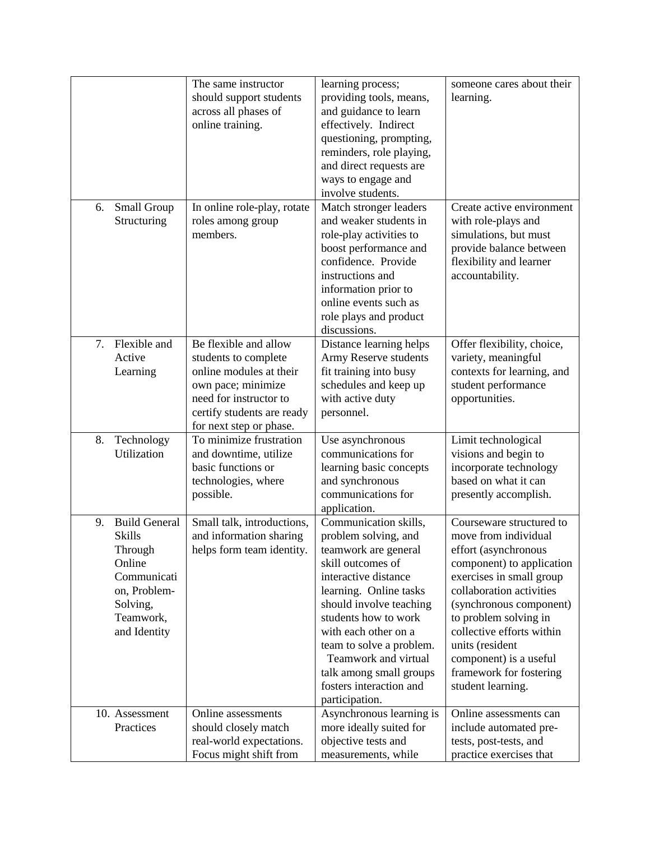|                            | The same instructor                                | learning process;                                | someone cares about their                            |
|----------------------------|----------------------------------------------------|--------------------------------------------------|------------------------------------------------------|
|                            | should support students                            | providing tools, means,                          | learning.                                            |
|                            | across all phases of                               | and guidance to learn                            |                                                      |
|                            | online training.                                   | effectively. Indirect                            |                                                      |
|                            |                                                    | questioning, prompting,                          |                                                      |
|                            |                                                    | reminders, role playing,                         |                                                      |
|                            |                                                    | and direct requests are                          |                                                      |
|                            |                                                    | ways to engage and                               |                                                      |
|                            |                                                    | involve students.                                |                                                      |
|                            |                                                    |                                                  |                                                      |
| Small Group<br>6.          | In online role-play, rotate                        | Match stronger leaders<br>and weaker students in | Create active environment                            |
| Structuring                | roles among group                                  |                                                  | with role-plays and                                  |
|                            | members.                                           | role-play activities to                          | simulations, but must                                |
|                            |                                                    | boost performance and                            | provide balance between                              |
|                            |                                                    | confidence. Provide                              | flexibility and learner                              |
|                            |                                                    | instructions and                                 | accountability.                                      |
|                            |                                                    | information prior to                             |                                                      |
|                            |                                                    | online events such as                            |                                                      |
|                            |                                                    | role plays and product                           |                                                      |
|                            |                                                    | discussions.                                     |                                                      |
| 7.<br>Flexible and         | Be flexible and allow                              | Distance learning helps                          | Offer flexibility, choice,                           |
| Active                     | students to complete                               | Army Reserve students                            | variety, meaningful                                  |
| Learning                   | online modules at their                            | fit training into busy                           | contexts for learning, and                           |
|                            | own pace; minimize                                 | schedules and keep up                            | student performance                                  |
|                            | need for instructor to                             | with active duty                                 | opportunities.                                       |
|                            | certify students are ready                         | personnel.                                       |                                                      |
|                            | for next step or phase.                            |                                                  |                                                      |
| 8.<br>Technology           | To minimize frustration                            | Use asynchronous                                 | Limit technological                                  |
| Utilization                | and downtime, utilize                              | communications for                               | visions and begin to                                 |
|                            | basic functions or                                 | learning basic concepts                          | incorporate technology<br>based on what it can       |
|                            | technologies, where                                | and synchronous                                  |                                                      |
|                            | possible.                                          | communications for                               | presently accomplish.                                |
| <b>Build General</b><br>9. | Small talk, introductions,                         | application.<br>Communication skills,            | Courseware structured to                             |
| <b>Skills</b>              |                                                    | problem solving, and                             | move from individual                                 |
|                            | and information sharing                            |                                                  |                                                      |
| Through                    | helps form team identity.                          | teamwork are general<br>skill outcomes of        | effort (asynchronous                                 |
| Online<br>Communicati      |                                                    | interactive distance                             | component) to application                            |
|                            |                                                    |                                                  | exercises in small group<br>collaboration activities |
| on, Problem-               |                                                    | learning. Online tasks                           | (synchronous component)                              |
| Solving,<br>Teamwork,      |                                                    | should involve teaching<br>students how to work  | to problem solving in                                |
| and Identity               |                                                    | with each other on a                             | collective efforts within                            |
|                            |                                                    | team to solve a problem.                         | units (resident                                      |
|                            |                                                    | Teamwork and virtual                             | component) is a useful                               |
|                            |                                                    | talk among small groups                          | framework for fostering                              |
|                            |                                                    | fosters interaction and                          | student learning.                                    |
|                            |                                                    | participation.                                   |                                                      |
| 10. Assessment             | Online assessments                                 | Asynchronous learning is                         | Online assessments can                               |
| Practices                  | should closely match                               | more ideally suited for                          | include automated pre-                               |
|                            |                                                    |                                                  |                                                      |
|                            |                                                    |                                                  |                                                      |
|                            | real-world expectations.<br>Focus might shift from | objective tests and<br>measurements, while       | tests, post-tests, and<br>practice exercises that    |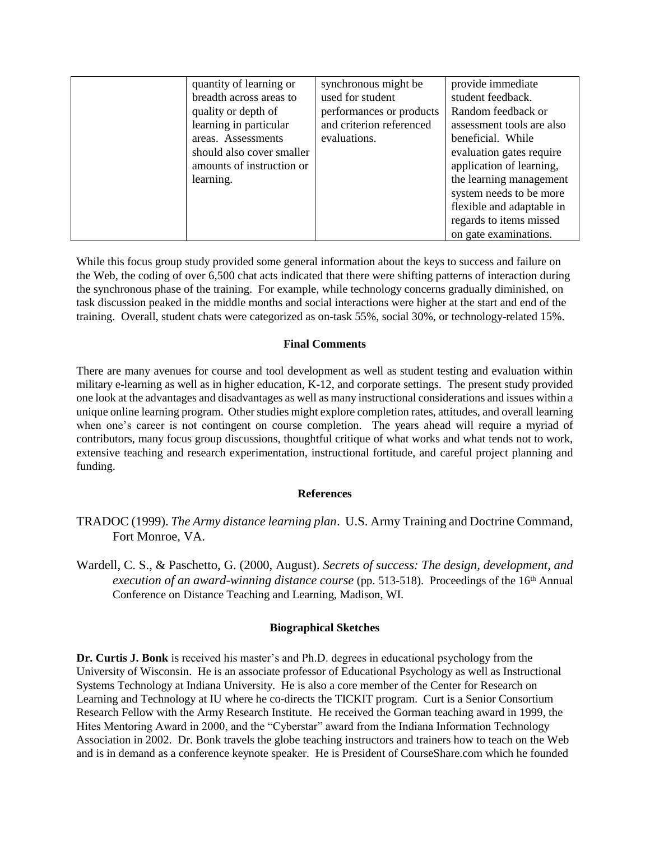| quantity of learning or   | synchronous might be     | provide immediate         |
|---------------------------|--------------------------|---------------------------|
| breadth across areas to   | used for student         | student feedback.         |
| quality or depth of       | performances or products | Random feedback or        |
| learning in particular    | and criterion referenced | assessment tools are also |
| areas. Assessments        | evaluations.             | beneficial. While         |
| should also cover smaller |                          | evaluation gates require  |
| amounts of instruction or |                          | application of learning,  |
| learning.                 |                          | the learning management   |
|                           |                          | system needs to be more   |
|                           |                          | flexible and adaptable in |
|                           |                          | regards to items missed   |
|                           |                          | on gate examinations.     |

While this focus group study provided some general information about the keys to success and failure on the Web, the coding of over 6,500 chat acts indicated that there were shifting patterns of interaction during the synchronous phase of the training. For example, while technology concerns gradually diminished, on task discussion peaked in the middle months and social interactions were higher at the start and end of the training. Overall, student chats were categorized as on-task 55%, social 30%, or technology-related 15%.

# **Final Comments**

There are many avenues for course and tool development as well as student testing and evaluation within military e-learning as well as in higher education, K-12, and corporate settings. The present study provided one look at the advantages and disadvantages as well as many instructional considerations and issues within a unique online learning program. Other studies might explore completion rates, attitudes, and overall learning when one's career is not contingent on course completion. The years ahead will require a myriad of contributors, many focus group discussions, thoughtful critique of what works and what tends not to work, extensive teaching and research experimentation, instructional fortitude, and careful project planning and funding.

# **References**

- TRADOC (1999). *The Army distance learning plan*. U.S. Army Training and Doctrine Command, Fort Monroe, VA.
- Wardell, C. S., & Paschetto, G. (2000, August). *Secrets of success: The design, development, and execution of an award-winning distance course* (pp. 513-518). Proceedings of the 16<sup>th</sup> Annual Conference on Distance Teaching and Learning, Madison, WI.

## **Biographical Sketches**

**Dr. Curtis J. Bonk** is received his master's and Ph.D. degrees in educational psychology from the University of Wisconsin. He is an associate professor of Educational Psychology as well as Instructional Systems Technology at Indiana University. He is also a core member of the Center for Research on Learning and Technology at IU where he co-directs the TICKIT program. Curt is a Senior Consortium Research Fellow with the Army Research Institute. He received the Gorman teaching award in 1999, the Hites Mentoring Award in 2000, and the "Cyberstar" award from the Indiana Information Technology Association in 2002. Dr. Bonk travels the globe teaching instructors and trainers how to teach on the Web and is in demand as a conference keynote speaker. He is President of CourseShare.com which he founded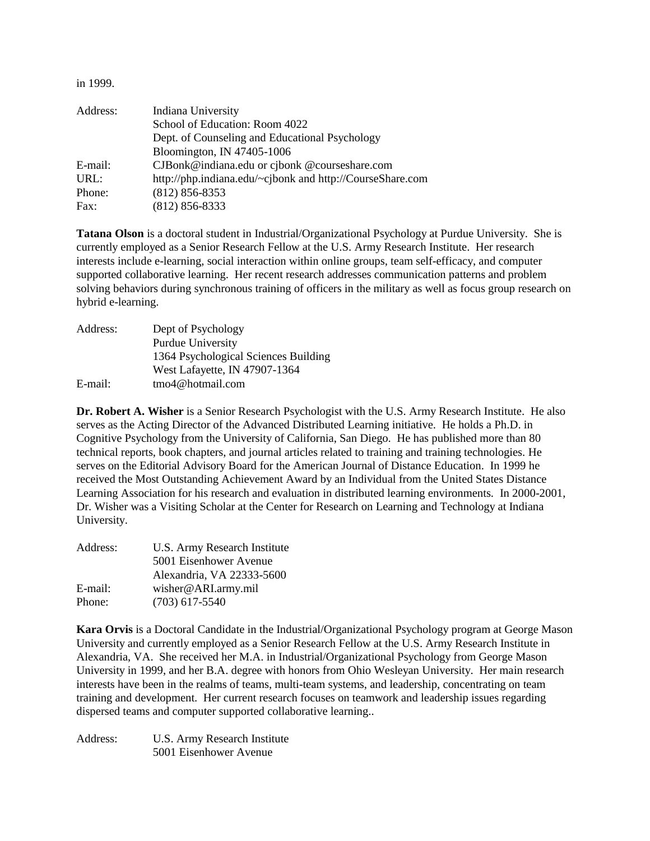in 1999.

| Address: | Indiana University                                        |
|----------|-----------------------------------------------------------|
|          | School of Education: Room 4022                            |
|          | Dept. of Counseling and Educational Psychology            |
|          | Bloomington, IN 47405-1006                                |
| E-mail:  | CJBonk@indiana.edu or cjbonk @courseshare.com             |
| URL:     | http://php.indiana.edu/~cjbonk and http://CourseShare.com |
| Phone:   | $(812) 856 - 8353$                                        |
| Fax:     | $(812) 856 - 8333$                                        |

**Tatana Olson** is a doctoral student in Industrial/Organizational Psychology at Purdue University. She is currently employed as a Senior Research Fellow at the U.S. Army Research Institute. Her research interests include e-learning, social interaction within online groups, team self-efficacy, and computer supported collaborative learning. Her recent research addresses communication patterns and problem solving behaviors during synchronous training of officers in the military as well as focus group research on hybrid e-learning.

| Address: | Dept of Psychology                   |
|----------|--------------------------------------|
|          | Purdue University                    |
|          | 1364 Psychological Sciences Building |
|          | West Lafayette, IN 47907-1364        |
| E-mail:  | tmo4@hotmail.com                     |

**Dr. Robert A. Wisher** is a Senior Research Psychologist with the U.S. Army Research Institute. He also serves as the Acting Director of the Advanced Distributed Learning initiative. He holds a Ph.D. in Cognitive Psychology from the University of California, San Diego. He has published more than 80 technical reports, book chapters, and journal articles related to training and training technologies. He serves on the Editorial Advisory Board for the American Journal of Distance Education. In 1999 he received the Most Outstanding Achievement Award by an Individual from the United States Distance Learning Association for his research and evaluation in distributed learning environments. In 2000-2001, Dr. Wisher was a Visiting Scholar at the Center for Research on Learning and Technology at Indiana University.

| Address: | U.S. Army Research Institute |  |
|----------|------------------------------|--|
|          | 5001 Eisenhower Avenue       |  |
|          | Alexandria, VA 22333-5600    |  |
| E-mail:  | wisher@ARI.army.mil          |  |
| Phone:   | $(703)$ 617-5540             |  |

**Kara Orvis** is a Doctoral Candidate in the Industrial/Organizational Psychology program at George Mason University and currently employed as a Senior Research Fellow at the U.S. Army Research Institute in Alexandria, VA. She received her M.A. in Industrial/Organizational Psychology from George Mason University in 1999, and her B.A. degree with honors from Ohio Wesleyan University. Her main research interests have been in the realms of teams, multi-team systems, and leadership, concentrating on team training and development. Her current research focuses on teamwork and leadership issues regarding dispersed teams and computer supported collaborative learning..

| Address: | U.S. Army Research Institute |
|----------|------------------------------|
|          | 5001 Eisenhower Avenue       |